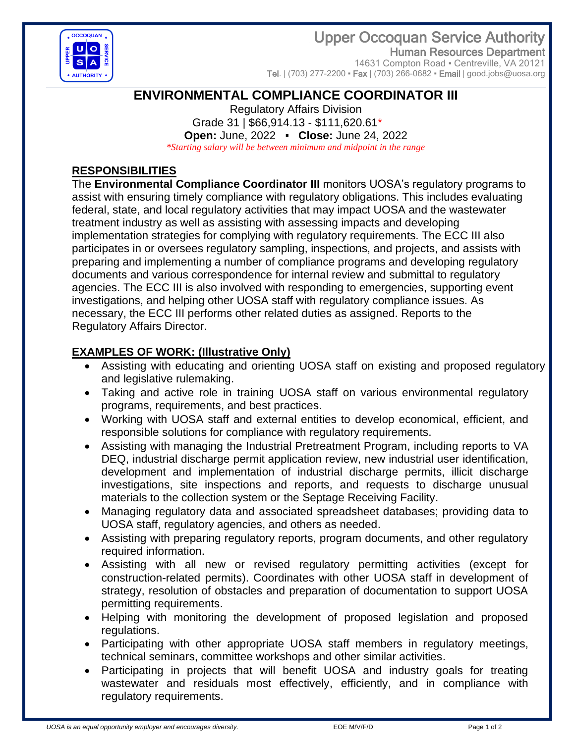Upper Occoquan Service Authority



Human Resources Department 14631 Compton Road · Centreville, VA 20121

Tel.  $(703)$  277-2200 • Fax  $(703)$  266-0682 • Email  $|$  good.jobs@uosa.org

# **ENVIRONMENTAL COMPLIANCE COORDINATOR III**

Regulatory Affairs Division Grade 31 | \$66,914.13 - \$111,620.61\* **Open:** June, 2022 ▪ **Close:** June 24, 2022 *\*Starting salary will be between minimum and midpoint in the range*

## **RESPONSIBILITIES**

The **Environmental Compliance Coordinator III** monitors UOSA's regulatory programs to assist with ensuring timely compliance with regulatory obligations. This includes evaluating federal, state, and local regulatory activities that may impact UOSA and the wastewater treatment industry as well as assisting with assessing impacts and developing implementation strategies for complying with regulatory requirements. The ECC III also participates in or oversees regulatory sampling, inspections, and projects, and assists with preparing and implementing a number of compliance programs and developing regulatory documents and various correspondence for internal review and submittal to regulatory agencies. The ECC III is also involved with responding to emergencies, supporting event investigations, and helping other UOSA staff with regulatory compliance issues. As necessary, the ECC III performs other related duties as assigned. Reports to the Regulatory Affairs Director.

## **EXAMPLES OF WORK: (Illustrative Only)**

- Assisting with educating and orienting UOSA staff on existing and proposed regulatory and legislative rulemaking.
- Taking and active role in training UOSA staff on various environmental regulatory programs, requirements, and best practices.
- Working with UOSA staff and external entities to develop economical, efficient, and responsible solutions for compliance with regulatory requirements.
- Assisting with managing the Industrial Pretreatment Program, including reports to VA DEQ, industrial discharge permit application review, new industrial user identification, development and implementation of industrial discharge permits, illicit discharge investigations, site inspections and reports, and requests to discharge unusual materials to the collection system or the Septage Receiving Facility.
- Managing regulatory data and associated spreadsheet databases; providing data to UOSA staff, regulatory agencies, and others as needed.
- Assisting with preparing regulatory reports, program documents, and other regulatory required information.
- Assisting with all new or revised regulatory permitting activities (except for construction-related permits). Coordinates with other UOSA staff in development of strategy, resolution of obstacles and preparation of documentation to support UOSA permitting requirements.
- Helping with monitoring the development of proposed legislation and proposed regulations.
- Participating with other appropriate UOSA staff members in regulatory meetings, technical seminars, committee workshops and other similar activities.
- Participating in projects that will benefit UOSA and industry goals for treating wastewater and residuals most effectively, efficiently, and in compliance with regulatory requirements.